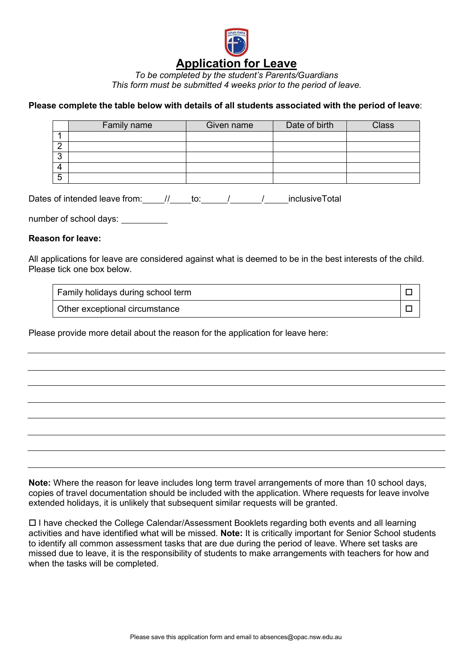

*To be completed by the student's Parents/Guardians This form must be submitted 4 weeks prior to the period of leave.*

## **Please complete the table below with details of all students associated with the period of leave**:

|             | <b>Family name</b> | Given name | Date of birth | <b>Class</b> |
|-------------|--------------------|------------|---------------|--------------|
|             |                    |            |               |              |
| ⌒           |                    |            |               |              |
| $\sim$<br>ື |                    |            |               |              |
| 4           |                    |            |               |              |
| 5           |                    |            |               |              |

Dates of intended leave from: // \_\_\_\_\_\_ to: \_\_\_\_\_\_/ \_\_\_\_\_\_\_/ \_\_\_\_\_\_ inclusiveTotal

number of school days: \_\_\_\_\_\_\_\_\_\_

## **Reason for leave:**

All applications for leave are considered against what is deemed to be in the best interests of the child. Please tick one box below.

| Family holidays during school term |  |
|------------------------------------|--|
| Other exceptional circumstance     |  |

Please provide more detail about the reason for the application for leave here:

**Note:** Where the reason for leave includes long term travel arrangements of more than 10 school days, copies of travel documentation should be included with the application. Where requests for leave involve extended holidays, it is unlikely that subsequent similar requests will be granted.

 I have checked the College Calendar/Assessment Booklets regarding both events and all learning activities and have identified what will be missed. **Note:** It is critically important for Senior School students to identify all common assessment tasks that are due during the period of leave. Where set tasks are missed due to leave, it is the responsibility of students to make arrangements with teachers for how and when the tasks will be completed.